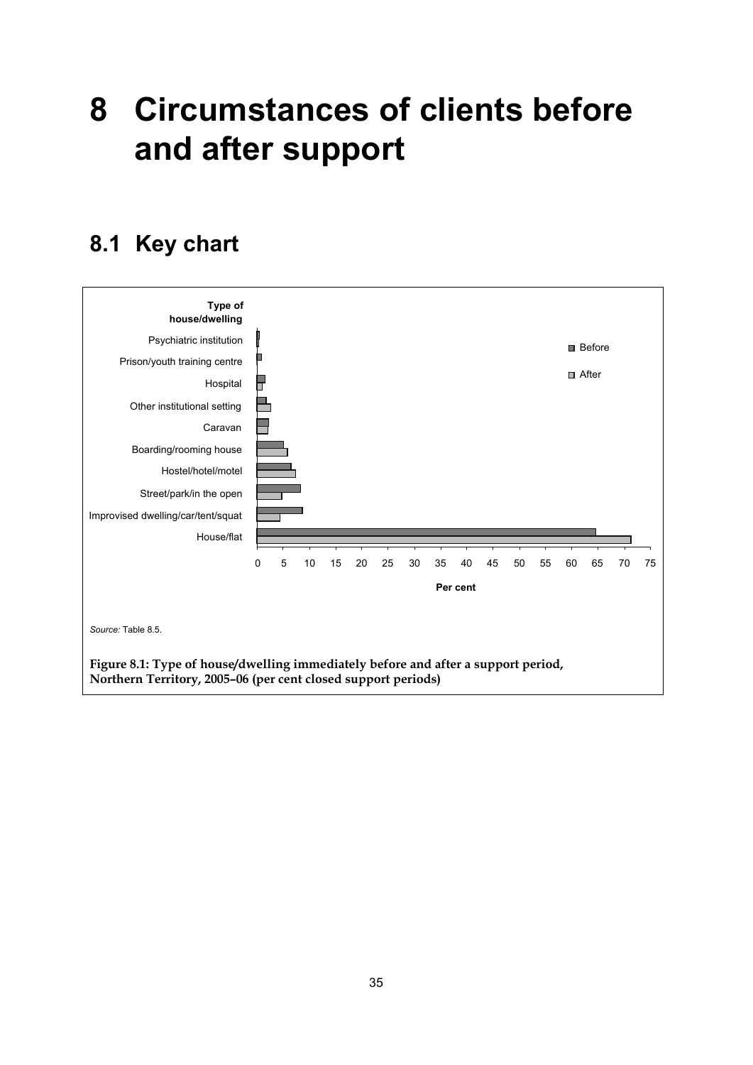# **8 Circumstances of clients before and after support**

### **8.1 Key chart**

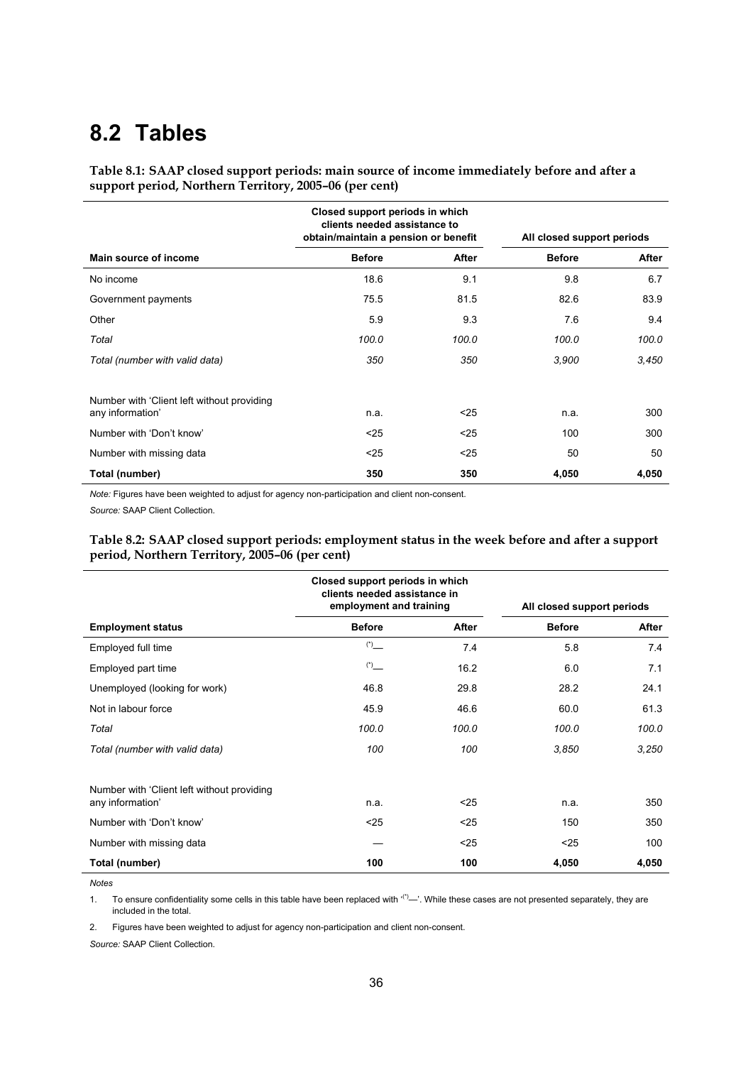## **8.2 Tables**

**Table 8.1: SAAP closed support periods: main source of income immediately before and after a support period, Northern Territory, 2005–06 (per cent)** 

|                                            | Closed support periods in which<br>clients needed assistance to<br>obtain/maintain a pension or benefit |       | All closed support periods |       |
|--------------------------------------------|---------------------------------------------------------------------------------------------------------|-------|----------------------------|-------|
| Main source of income                      | <b>Before</b>                                                                                           | After | <b>Before</b>              | After |
| No income                                  | 18.6                                                                                                    | 9.1   | 9.8                        | 6.7   |
| Government payments                        | 75.5                                                                                                    | 81.5  | 82.6                       | 83.9  |
| Other                                      | 5.9                                                                                                     | 9.3   | 7.6                        | 9.4   |
| Total                                      | 100.0                                                                                                   | 100.0 | 100.0                      | 100.0 |
| Total (number with valid data)             | 350                                                                                                     | 350   | 3,900                      | 3,450 |
| Number with 'Client left without providing |                                                                                                         | $25$  |                            | 300   |
| any information'                           | n.a.                                                                                                    |       | n.a.                       |       |
| Number with 'Don't know'                   | $25$                                                                                                    | $25$  | 100                        | 300   |
| Number with missing data                   | $25$                                                                                                    | $25$  | 50                         | 50    |
| Total (number)                             | 350                                                                                                     | 350   | 4,050                      | 4,050 |

*Note:* Figures have been weighted to adjust for agency non-participation and client non-consent.

*Source:* SAAP Client Collection.

#### **Table 8.2: SAAP closed support periods: employment status in the week before and after a support period, Northern Territory, 2005–06 (per cent)**

|                                            | Closed support periods in which<br>clients needed assistance in<br>employment and training |       | All closed support periods |       |
|--------------------------------------------|--------------------------------------------------------------------------------------------|-------|----------------------------|-------|
| <b>Employment status</b>                   | <b>Before</b>                                                                              | After | <b>Before</b>              | After |
| Employed full time                         | $(*)$                                                                                      | 7.4   | 5.8                        | 7.4   |
| Employed part time                         |                                                                                            | 16.2  | 6.0                        | 7.1   |
| Unemployed (looking for work)              | 46.8                                                                                       | 29.8  | 28.2                       | 24.1  |
| Not in labour force                        | 45.9                                                                                       | 46.6  | 60.0                       | 61.3  |
| Total                                      | 100.0                                                                                      | 100.0 | 100.0                      | 100.0 |
| Total (number with valid data)             | 100                                                                                        | 100   | 3.850                      | 3,250 |
| Number with 'Client left without providing |                                                                                            |       |                            |       |
| any information'                           | n.a.                                                                                       | $25$  | n.a.                       | 350   |
| Number with 'Don't know'                   | $25$                                                                                       | $25$  | 150                        | 350   |
| Number with missing data                   |                                                                                            | $25$  | $25$                       | 100   |
| Total (number)                             | 100                                                                                        | 100   | 4,050                      | 4,050 |

*Notes* 

1. To ensure confidentiality some cells in this table have been replaced with  $(') \rightarrow$ . While these cases are not presented separately, they are included in the total.

2. Figures have been weighted to adjust for agency non-participation and client non-consent.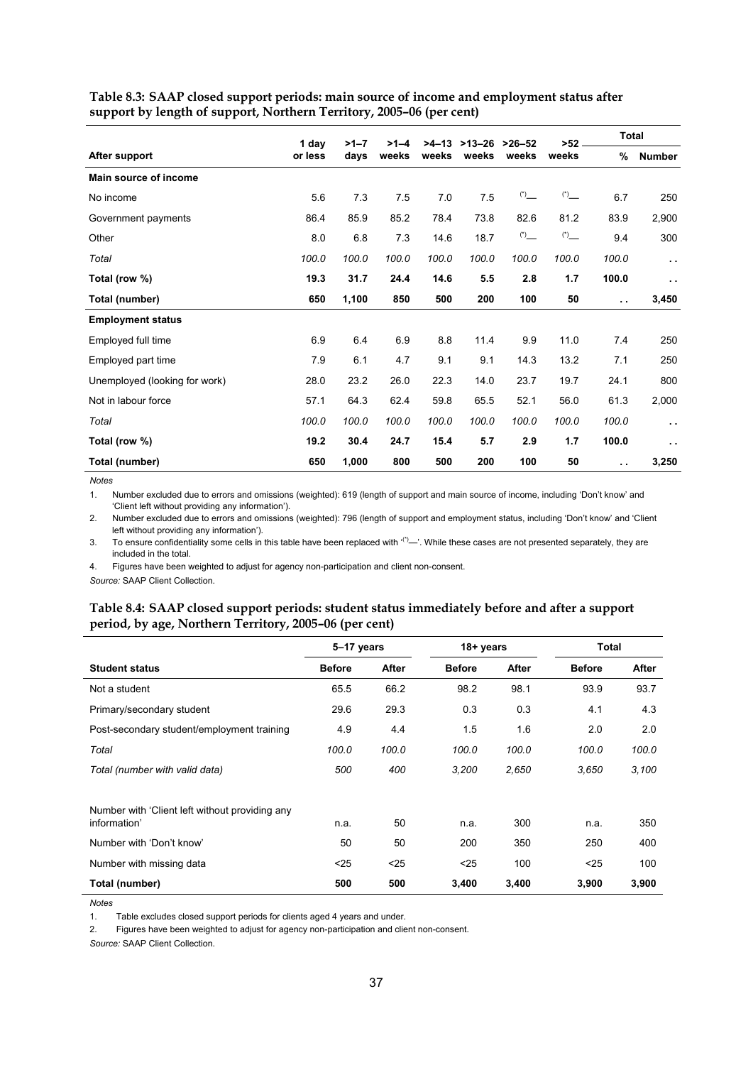|                               | 1 day   | $>1 - 7$ |       |       | $>4 - 13$<br>$>1 - 4$ |       | $>13-26$ $>26-52$ |                      | <b>Total</b>         |  |
|-------------------------------|---------|----------|-------|-------|-----------------------|-------|-------------------|----------------------|----------------------|--|
| After support                 | or less | days     | weeks | weeks | weeks                 | weeks | $>52$<br>weeks    | %                    | <b>Number</b>        |  |
| Main source of income         |         |          |       |       |                       |       |                   |                      |                      |  |
| No income                     | 5.6     | 7.3      | 7.5   | 7.0   | 7.5                   |       |                   | 6.7                  | 250                  |  |
| Government payments           | 86.4    | 85.9     | 85.2  | 78.4  | 73.8                  | 82.6  | 81.2              | 83.9                 | 2,900                |  |
| Other                         | 8.0     | 6.8      | 7.3   | 14.6  | 18.7                  |       |                   | 9.4                  | 300                  |  |
| Total                         | 100.0   | 100.0    | 100.0 | 100.0 | 100.0                 | 100.0 | 100.0             | 100.0                | $\sim$ $\sim$        |  |
| Total (row %)                 | 19.3    | 31.7     | 24.4  | 14.6  | 5.5                   | 2.8   | 1.7               | 100.0                | $\ddot{\phantom{1}}$ |  |
| Total (number)                | 650     | 1,100    | 850   | 500   | 200                   | 100   | 50                | $\sim$ $\sim$        | 3,450                |  |
| <b>Employment status</b>      |         |          |       |       |                       |       |                   |                      |                      |  |
| Employed full time            | 6.9     | 6.4      | 6.9   | 8.8   | 11.4                  | 9.9   | 11.0              | 7.4                  | 250                  |  |
| Employed part time            | 7.9     | 6.1      | 4.7   | 9.1   | 9.1                   | 14.3  | 13.2              | 7.1                  | 250                  |  |
| Unemployed (looking for work) | 28.0    | 23.2     | 26.0  | 22.3  | 14.0                  | 23.7  | 19.7              | 24.1                 | 800                  |  |
| Not in labour force           | 57.1    | 64.3     | 62.4  | 59.8  | 65.5                  | 52.1  | 56.0              | 61.3                 | 2,000                |  |
| Total                         | 100.0   | 100.0    | 100.0 | 100.0 | 100.0                 | 100.0 | 100.0             | 100.0                | $\sim$ $\sim$        |  |
| Total (row %)                 | 19.2    | 30.4     | 24.7  | 15.4  | 5.7                   | 2.9   | 1.7               | 100.0                | $\sim$ $\sim$        |  |
| Total (number)                | 650     | 1,000    | 800   | 500   | 200                   | 100   | 50                | $\ddot{\phantom{1}}$ | 3,250                |  |

**Table 8.3: SAAP closed support periods: main source of income and employment status after support by length of support, Northern Territory, 2005–06 (per cent)** 

*Notes* 

1. Number excluded due to errors and omissions (weighted): 619 (length of support and main source of income, including 'Don't know' and 'Client left without providing any information').

2. Number excluded due to errors and omissions (weighted): 796 (length of support and employment status, including 'Don't know' and 'Client left without providing any information').

3. To ensure confidentiality some cells in this table have been replaced with  $T \rightarrow$ . While these cases are not presented separately, they are included in the total.

4. Figures have been weighted to adjust for agency non-participation and client non-consent.

*Source:* SAAP Client Collection.

#### **Table 8.4: SAAP closed support periods: student status immediately before and after a support period, by age, Northern Territory, 2005–06 (per cent)**

|                                                                | 5-17 years    |       | 18+ years     |       | Total         |       |  |
|----------------------------------------------------------------|---------------|-------|---------------|-------|---------------|-------|--|
| <b>Student status</b>                                          | <b>Before</b> | After | <b>Before</b> | After | <b>Before</b> | After |  |
| Not a student                                                  | 65.5          | 66.2  | 98.2          | 98.1  | 93.9          | 93.7  |  |
| Primary/secondary student                                      | 29.6          | 29.3  | 0.3           | 0.3   | 4.1           | 4.3   |  |
| Post-secondary student/employment training                     | 4.9           | 4.4   | 1.5           | 1.6   | 2.0           | 2.0   |  |
| Total                                                          | 100.0         | 100.0 | 100.0         | 100.0 | 100.0         | 100.0 |  |
| Total (number with valid data)                                 | 500           | 400   | 3,200         | 2,650 | 3,650         | 3.100 |  |
| Number with 'Client left without providing any<br>information' | n.a.          | 50    | n.a.          | 300   | n.a.          | 350   |  |
| Number with 'Don't know'                                       | 50            | 50    | 200           | 350   | 250           | 400   |  |
| Number with missing data                                       | $25$          | $25$  | $25$          | 100   | $25$          | 100   |  |
| Total (number)                                                 | 500           | 500   | 3,400         | 3,400 | 3,900         | 3,900 |  |

*Notes* 

1. Table excludes closed support periods for clients aged 4 years and under.

2. Figures have been weighted to adjust for agency non-participation and client non-consent.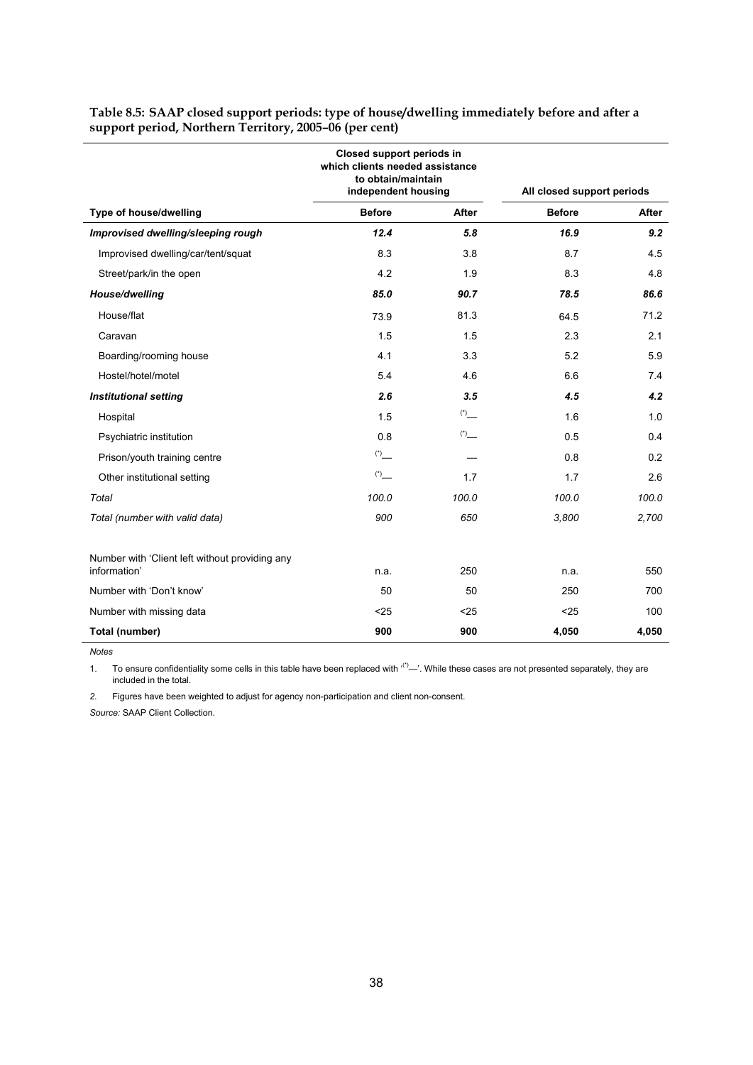|                                                | Closed support periods in<br>which clients needed assistance<br>to obtain/maintain<br>independent housing |       | All closed support periods |              |
|------------------------------------------------|-----------------------------------------------------------------------------------------------------------|-------|----------------------------|--------------|
| Type of house/dwelling                         | <b>Before</b>                                                                                             | After | <b>Before</b>              | <b>After</b> |
| Improvised dwelling/sleeping rough             | 12.4                                                                                                      | 5.8   | 16.9                       | 9.2          |
| Improvised dwelling/car/tent/squat             | 8.3                                                                                                       | 3.8   | 8.7                        | 4.5          |
| Street/park/in the open                        | 4.2                                                                                                       | 1.9   | 8.3                        | 4.8          |
| House/dwelling                                 | 85.0                                                                                                      | 90.7  | 78.5                       | 86.6         |
| House/flat                                     | 73.9                                                                                                      | 81.3  | 64.5                       | 71.2         |
| Caravan                                        | 1.5                                                                                                       | 1.5   | 2.3                        | 2.1          |
| Boarding/rooming house                         | 4.1                                                                                                       | 3.3   | 5.2                        | 5.9          |
| Hostel/hotel/motel                             | 5.4                                                                                                       | 4.6   | 6.6                        | 7.4          |
| <b>Institutional setting</b>                   | 2.6                                                                                                       | 3.5   | 4.5                        | 4.2          |
| Hospital                                       | 1.5                                                                                                       | $(*)$ | 1.6                        | 1.0          |
| Psychiatric institution                        | 0.8                                                                                                       | $(*)$ | 0.5                        | 0.4          |
| Prison/youth training centre                   |                                                                                                           |       | 0.8                        | 0.2          |
| Other institutional setting                    |                                                                                                           | 1.7   | 1.7                        | 2.6          |
| Total                                          | 100.0                                                                                                     | 100.0 | 100.0                      | 100.0        |
| Total (number with valid data)                 | 900                                                                                                       | 650   | 3,800                      | 2,700        |
| Number with 'Client left without providing any |                                                                                                           |       |                            |              |
| information'                                   | n.a.                                                                                                      | 250   | n.a.                       | 550          |
| Number with 'Don't know'                       | 50                                                                                                        | 50    | 250                        | 700          |
| Number with missing data                       | $25$                                                                                                      | $25$  | $25$                       | 100          |
| Total (number)                                 | 900                                                                                                       | 900   | 4,050                      | 4,050        |

**Table 8.5: SAAP closed support periods: type of house/dwelling immediately before and after a support period, Northern Territory, 2005–06 (per cent)** 

*Notes* 

l.

1. To ensure confidentiality some cells in this table have been replaced with  $T$ <sup>(\*)</sup>—'. While these cases are not presented separately, they are included in the total.

*2.* Figures have been weighted to adjust for agency non-participation and client non-consent.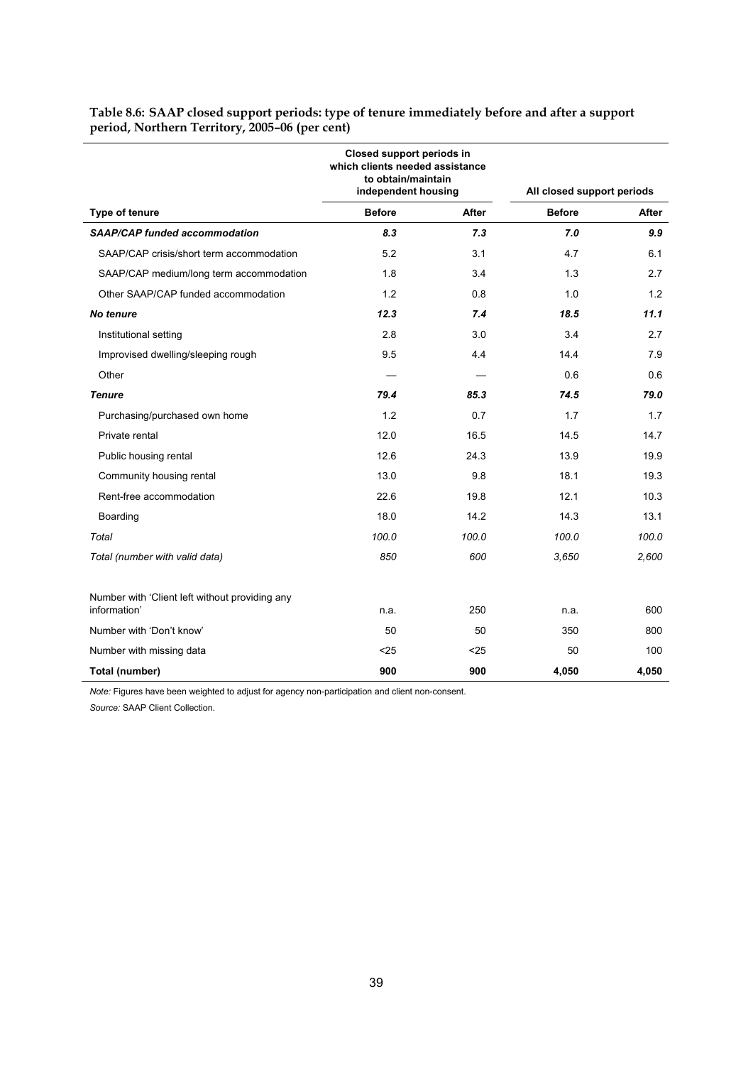|                                                                | Closed support periods in<br>which clients needed assistance<br>to obtain/maintain<br>independent housing |              | All closed support periods |       |
|----------------------------------------------------------------|-----------------------------------------------------------------------------------------------------------|--------------|----------------------------|-------|
| Type of tenure                                                 | <b>Before</b>                                                                                             | <b>After</b> | <b>Before</b>              | After |
| <b>SAAP/CAP funded accommodation</b>                           | 8.3                                                                                                       | 7.3          | 7.0                        | 9.9   |
| SAAP/CAP crisis/short term accommodation                       | 5.2                                                                                                       | 3.1          | 4.7                        | 6.1   |
| SAAP/CAP medium/long term accommodation                        | 1.8                                                                                                       | 3.4          | 1.3                        | 2.7   |
| Other SAAP/CAP funded accommodation                            | 1.2                                                                                                       | 0.8          | 1.0                        | 1.2   |
| No tenure                                                      | 12.3                                                                                                      | 7.4          | 18.5                       | 11.1  |
| Institutional setting                                          | 2.8                                                                                                       | 3.0          | 3.4                        | 2.7   |
| Improvised dwelling/sleeping rough                             | 9.5                                                                                                       | 4.4          | 14.4                       | 7.9   |
| Other                                                          |                                                                                                           |              | 0.6                        | 0.6   |
| <b>Tenure</b>                                                  | 79.4                                                                                                      | 85.3         | 74.5                       | 79.0  |
| Purchasing/purchased own home                                  | 1.2                                                                                                       | 0.7          | 1.7                        | 1.7   |
| Private rental                                                 | 12.0                                                                                                      | 16.5         | 14.5                       | 14.7  |
| Public housing rental                                          | 12.6                                                                                                      | 24.3         | 13.9                       | 19.9  |
| Community housing rental                                       | 13.0                                                                                                      | 9.8          | 18.1                       | 19.3  |
| Rent-free accommodation                                        | 22.6                                                                                                      | 19.8         | 12.1                       | 10.3  |
| Boarding                                                       | 18.0                                                                                                      | 14.2         | 14.3                       | 13.1  |
| Total                                                          | 100.0                                                                                                     | 100.0        | 100.0                      | 100.0 |
| Total (number with valid data)                                 | 850                                                                                                       | 600          | 3.650                      | 2,600 |
| Number with 'Client left without providing any<br>information' | n.a.                                                                                                      | 250          | n.a.                       | 600   |
| Number with 'Don't know'                                       | 50                                                                                                        | 50           | 350                        | 800   |
| Number with missing data                                       | < 25                                                                                                      | $25$         | 50                         | 100   |
| Total (number)                                                 | 900                                                                                                       | 900          | 4,050                      | 4,050 |

#### **Table 8.6: SAAP closed support periods: type of tenure immediately before and after a support period, Northern Territory, 2005–06 (per cent)**

*Note:* Figures have been weighted to adjust for agency non-participation and client non-consent.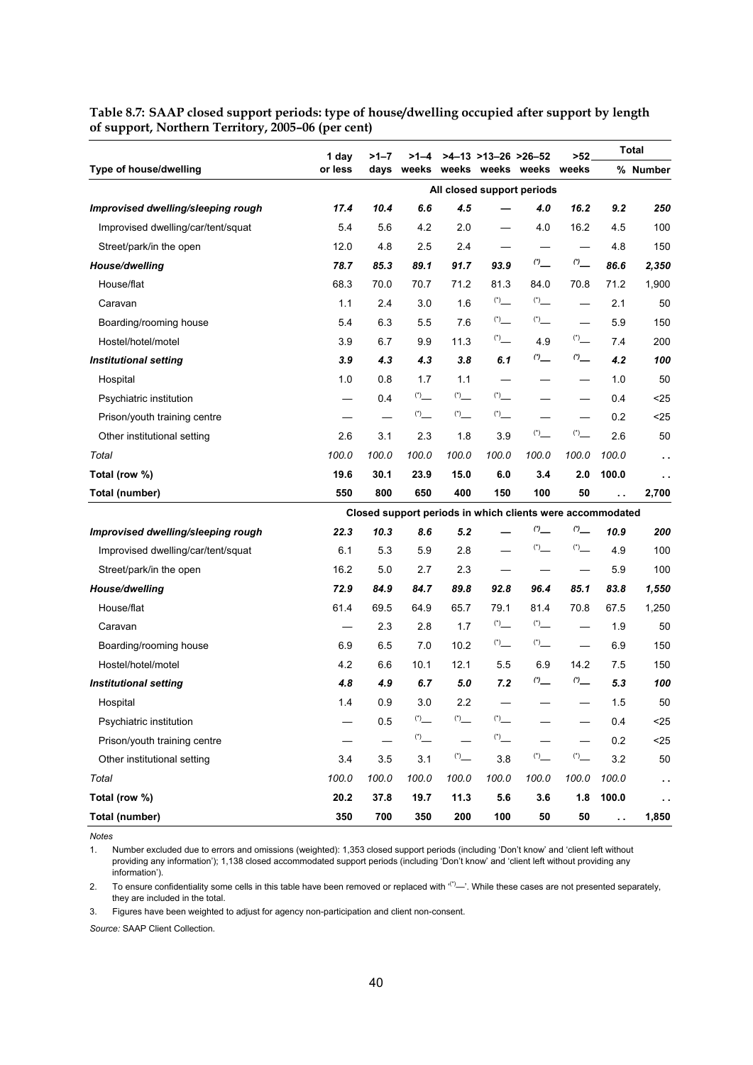|                                    | 1 day                    | $>1 - 7$ | $>1 - 4$            |                                                 |                     | $>4-13$ $>13-26$ $>26-52$                                 | >52                   |                      | Total                |
|------------------------------------|--------------------------|----------|---------------------|-------------------------------------------------|---------------------|-----------------------------------------------------------|-----------------------|----------------------|----------------------|
| Type of house/dwelling             | or less                  | days     |                     |                                                 |                     | weeks weeks weeks weeks                                   | weeks                 |                      | % Number             |
|                                    |                          |          |                     |                                                 |                     | All closed support periods                                |                       |                      |                      |
| Improvised dwelling/sleeping rough | 17.4                     | 10.4     | 6.6                 | 4.5                                             |                     | 4.0                                                       | 16.2                  | 9.2                  | 250                  |
| Improvised dwelling/car/tent/squat | 5.4                      | 5.6      | 4.2                 | 2.0                                             |                     | 4.0                                                       | 16.2                  | 4.5                  | 100                  |
| Street/park/in the open            | 12.0                     | 4.8      | 2.5                 | 2.4                                             |                     |                                                           |                       | 4.8                  | 150                  |
| House/dwelling                     | 78.7                     | 85.3     | 89.1                | 91.7                                            | 93.9                | $\sigma$ —                                                | $\omega_{\rm max}$    | 86.6                 | 2,350                |
| House/flat                         | 68.3                     | 70.0     | 70.7                | 71.2                                            | 81.3                | 84.0                                                      | 70.8                  | 71.2                 | 1,900                |
| Caravan                            | 1.1                      | 2.4      | 3.0                 | 1.6                                             |                     | $\sum_{i=1}^{n}$                                          |                       | 2.1                  | 50                   |
| Boarding/rooming house             | 5.4                      | 6.3      | 5.5                 | 7.6                                             |                     | $\overset{\text{\tiny{(}}{\ast}\text{)}}{--}$             |                       | 5.9                  | 150                  |
| Hostel/hotel/motel                 | 3.9                      | 6.7      | 9.9                 | 11.3                                            |                     | 4.9                                                       |                       | 7.4                  | 200                  |
| <b>Institutional setting</b>       | 3.9                      | 4.3      | 4.3                 | 3.8                                             | 6.1                 | $^{\prime\prime}$                                         | $\omega_{\text{max}}$ | 4.2                  | 100                  |
| Hospital                           | 1.0                      | 0.8      | 1.7                 | 1.1                                             |                     |                                                           |                       | 1.0                  | 50                   |
| Psychiatric institution            |                          | 0.4      |                     |                                                 |                     |                                                           |                       | 0.4                  | $25$                 |
| Prison/youth training centre       |                          |          | $(*)$               |                                                 |                     |                                                           |                       | 0.2                  | $25$                 |
| Other institutional setting        | 2.6                      | 3.1      | 2.3                 | 1.8                                             | 3.9                 | $\sum_{i=1}^{n}$                                          |                       | 2.6                  | 50                   |
| Total                              | 100.0                    | 100.0    | 100.0               | 100.0                                           | 100.0               | 100.0                                                     | 100.0                 | 100.0                | $\ddot{\phantom{1}}$ |
| Total (row %)                      | 19.6                     | 30.1     | 23.9                | 15.0                                            | 6.0                 | 3.4                                                       | 2.0                   | 100.0                | .,                   |
| Total (number)                     | 550                      | 800      | 650                 | 400                                             | 150                 | 100                                                       | 50                    | . .                  | 2,700                |
|                                    |                          |          |                     |                                                 |                     | Closed support periods in which clients were accommodated |                       |                      |                      |
| Improvised dwelling/sleeping rough | 22.3                     | 10.3     | 8.6                 | 5.2                                             |                     | $\overset{(*)}{-}$                                        | $\omega_{\rm{}}$      | 10.9                 | 200                  |
| Improvised dwelling/car/tent/squat | 6.1                      | 5.3      | 5.9                 | 2.8                                             |                     | $\binom{4}{1}$                                            |                       | 4.9                  | 100                  |
| Street/park/in the open            | 16.2                     | 5.0      | 2.7                 | 2.3                                             |                     |                                                           |                       | 5.9                  | 100                  |
| House/dwelling                     | 72.9                     | 84.9     | 84.7                | 89.8                                            | 92.8                | 96.4                                                      | 85.1                  | 83.8                 | 1,550                |
| House/flat                         | 61.4                     | 69.5     | 64.9                | 65.7                                            | 79.1                | 81.4                                                      | 70.8                  | 67.5                 | 1,250                |
| Caravan                            | $\overline{\phantom{0}}$ | 2.3      | 2.8                 | 1.7                                             |                     |                                                           |                       | 1.9                  | 50                   |
| Boarding/rooming house             | 6.9                      | 6.5      | 7.0                 | 10.2                                            |                     |                                                           |                       | 6.9                  | 150                  |
| Hostel/hotel/motel                 | 4.2                      | 6.6      | 10.1                | 12.1                                            | 5.5                 | 6.9                                                       | 14.2                  | 7.5                  | 150                  |
| <b>Institutional setting</b>       | 4.8                      | 4.9      | 6.7                 | $5.0\,$                                         | 7.2                 | $\overset{\circ}{-}$                                      | (2)                   | 5.3                  | 100                  |
| Hospital                           | $1.4$                    | 0.9      | 3.0                 | 2.2                                             |                     |                                                           |                       | 1.5                  | 50                   |
| Psychiatric institution            |                          | 0.5      |                     | $\left( ^{\ast }\right) _{\underline{\qquad }}$ |                     |                                                           |                       | 0.4                  | $25$                 |
| Prison/youth training centre       |                          |          | $\overset{(*)}{\_}$ |                                                 | $\overset{(*)}{\_}$ |                                                           |                       | 0.2                  | $25$                 |
| Other institutional setting        | 3.4                      | 3.5      | 3.1                 | $\overset{(*)}{\_}$                             | 3.8                 |                                                           |                       | 3.2                  | $50\,$               |
| Total                              | 100.0                    | 100.0    | 100.0               | 100.0                                           | 100.0               | 100.0                                                     | 100.0                 | 100.0                | $\epsilon$ .         |
| Total (row %)                      | 20.2                     | 37.8     | 19.7                | 11.3                                            | 5.6                 | 3.6                                                       | 1.8                   | 100.0                | $\epsilon$ .         |
| <b>Total (number)</b>              | 350                      | 700      | 350                 | 200                                             | 100                 | 50                                                        | ${\bf 50}$            | $\ddot{\phantom{a}}$ | 1,850                |

**Table 8.7: SAAP closed support periods: type of house/dwelling occupied after support by length of support, Northern Territory, 2005–06 (per cent)** 

*Notes* 

1. Number excluded due to errors and omissions (weighted): 1,353 closed support periods (including 'Don't know' and 'client left without providing any information'); 1,138 closed accommodated support periods (including 'Don't know' and 'client left without providing any information').

2. To ensure confidentiality some cells in this table have been removed or replaced with  $(')$ —'. While these cases are not presented separately, they are included in the total.

3. Figures have been weighted to adjust for agency non-participation and client non-consent.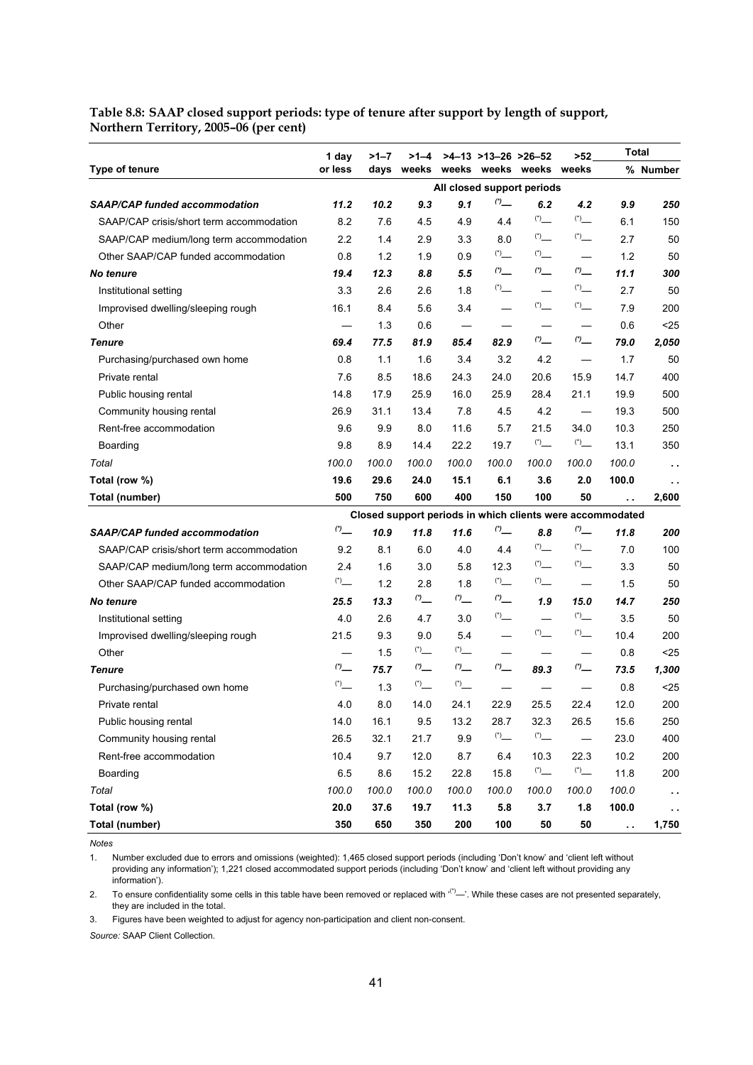**Table 8.8: SAAP closed support periods: type of tenure after support by length of support, Northern Territory, 2005–06 (per cent)** 

|                                          | 1 day              | $>1 - 7$ | $>1 - 4$      |                | $>4-13$ $>13-26$ $>26-52$ |                            | >52                                                       |                      | Total    |
|------------------------------------------|--------------------|----------|---------------|----------------|---------------------------|----------------------------|-----------------------------------------------------------|----------------------|----------|
| Type of tenure                           | or less            | days     | weeks         |                |                           | weeks weeks weeks weeks    |                                                           |                      | % Number |
|                                          |                    |          |               |                |                           | All closed support periods |                                                           |                      |          |
| <b>SAAP/CAP funded accommodation</b>     | 11.2               | 10.2     | 9.3           | 9.1            | $\omega_{\rm{}}$          | 6.2                        | 4.2                                                       | 9.9                  | 250      |
| SAAP/CAP crisis/short term accommodation | 8.2                | 7.6      | 4.5           | 4.9            | 4.4                       |                            |                                                           | 6.1                  | 150      |
| SAAP/CAP medium/long term accommodation  | 2.2                | 1.4      | 2.9           | 3.3            | 8.0                       |                            | $\overset{(*)}{-}$                                        | 2.7                  | 50       |
| Other SAAP/CAP funded accommodation      | 0.8                | 1.2      | 1.9           | 0.9            |                           |                            |                                                           | 1.2                  | 50       |
| No tenure                                | 19.4               | 12.3     | 8.8           | 5.5            | $\omega_{\rm max}$        | $\omega$                   | $\overset{(*)}{=}$                                        | 11.1                 | 300      |
| Institutional setting                    | 3.3                | 2.6      | 2.6           | 1.8            |                           |                            |                                                           | 2.7                  | 50       |
| Improvised dwelling/sleeping rough       | 16.1               | 8.4      | 5.6           | 3.4            |                           | $\overset{(*)}{=}$         | $\overset{(*)}{=}$                                        | 7.9                  | 200      |
| Other                                    |                    | 1.3      | 0.6           |                |                           |                            |                                                           | 0.6                  | $25$     |
| <b>Tenure</b>                            | 69.4               | 77.5     | 81.9          | 85.4           | 82.9                      | (2)                        | (2)                                                       | 79.0                 | 2,050    |
| Purchasing/purchased own home            | 0.8                | 1.1      | 1.6           | 3.4            | 3.2                       | 4.2                        |                                                           | 1.7                  | 50       |
| Private rental                           | 7.6                | 8.5      | 18.6          | 24.3           | 24.0                      | 20.6                       | 15.9                                                      | 14.7                 | 400      |
| Public housing rental                    | 14.8               | 17.9     | 25.9          | 16.0           | 25.9                      | 28.4                       | 21.1                                                      | 19.9                 | 500      |
| Community housing rental                 | 26.9               | 31.1     | 13.4          | 7.8            | 4.5                       | 4.2                        | $\qquad \qquad \longleftarrow$                            | 19.3                 | 500      |
| Rent-free accommodation                  | 9.6                | 9.9      | 8.0           | 11.6           | 5.7                       | 21.5                       | 34.0                                                      | 10.3                 | 250      |
| Boarding                                 | 9.8                | 8.9      | 14.4          | 22.2           | 19.7                      |                            |                                                           | 13.1                 | 350      |
| Total                                    | 100.0              | 100.0    | 100.0         | 100.0          | 100.0                     | 100.0                      | 100.0                                                     | 100.0                | ٠.       |
| Total (row %)                            | 19.6               | 29.6     | 24.0          | 15.1           | 6.1                       | 3.6                        | 2.0                                                       | 100.0                | ٠.       |
| Total (number)                           | 500                | 750      | 600           | 400            | 150                       | 100                        | 50                                                        | μ.                   | 2,600    |
|                                          |                    |          |               |                |                           |                            | Closed support periods in which clients were accommodated |                      |          |
| <b>SAAP/CAP funded accommodation</b>     | $\sigma$           | 10.9     | 11.8          | 11.6           | ு__                       | 8.8                        | $\sigma_{\rm{}}$                                          | 11.8                 | 200      |
| SAAP/CAP crisis/short term accommodation | 9.2                | 8.1      | 6.0           | 4.0            | 4.4                       |                            | $\overset{(*)}{=}$                                        | 7.0                  | 100      |
| SAAP/CAP medium/long term accommodation  | 2.4                | 1.6      | 3.0           | 5.8            | 12.3                      |                            |                                                           | 3.3                  | 50       |
| Other SAAP/CAP funded accommodation      |                    | 1.2      | 2.8           | 1.8            |                           |                            |                                                           | 1.5                  | 50       |
| No tenure                                | 25.5               | 13.3     | $\omega_{--}$ | (2)            | $\omega_{-}$              | 1.9                        | 15.0                                                      | 14.7                 | 250      |
| Institutional setting                    | 4.0                | 2.6      | 4.7           | 3.0            |                           |                            |                                                           | 3.5                  | 50       |
| Improvised dwelling/sleeping rough       | 21.5               | 9.3      | 9.0           | 5.4            |                           |                            |                                                           | 10.4                 | 200      |
| Other                                    |                    | 1.5      |               | $(*)$          |                           |                            |                                                           | 0.8                  | $25$     |
| <b>Tenure</b>                            | $\omega$           | 75.7     | $\frac{1}{2}$ | (2)            | $\omega_{\rm max}$        | 89.3                       | $\omega$                                                  | 73.5                 | 1,300    |
| Purchasing/purchased own home            | $\overset{(*)}{=}$ | 1.3      |               | $\binom{4}{1}$ |                           |                            |                                                           | 0.8                  | $25$     |
| Private rental                           | 4.0                | 8.0      | 14.0          | 24.1           | 22.9                      | 25.5                       | 22.4                                                      | 12.0                 | 200      |
| Public housing rental                    | 14.0               | 16.1     | 9.5           | 13.2           | 28.7                      | 32.3                       | 26.5                                                      | 15.6                 | 250      |
| Community housing rental                 | 26.5               | 32.1     | 21.7          | $9.9\,$        | $\overset{(*)}-$          | $\overset{(*)}{\_}$        |                                                           | 23.0                 | 400      |
| Rent-free accommodation                  | 10.4               | 9.7      | 12.0          | 8.7            | 6.4                       | 10.3                       | 22.3                                                      | 10.2                 | 200      |
| Boarding                                 | 6.5                | 8.6      | 15.2          | 22.8           | 15.8                      |                            | $\left( ^{\ast }\right) _{\underline{\qquad }}$           | 11.8                 | 200      |
| Total                                    | 100.0              | 100.0    | 100.0         | 100.0          | 100.0                     | 100.0                      | 100.0                                                     | 100.0                | ٠,       |
| Total (row %)                            | 20.0               | 37.6     | 19.7          | 11.3           | 5.8                       | 3.7                        | 1.8                                                       | 100.0                | $\sim$   |
| Total (number)                           | 350                | 650      | 350           | 200            | 100                       | 50                         | 50                                                        | $\ddot{\phantom{1}}$ | 1,750    |

*Notes* 

1. Number excluded due to errors and omissions (weighted): 1,465 closed support periods (including 'Don't know' and 'client left without providing any information'); 1,221 closed accommodated support periods (including 'Don't know' and 'client left without providing any information').

2. To ensure confidentiality some cells in this table have been removed or replaced with  $\binom{n}{k}$ . While these cases are not presented separately, they are included in the total.

3. Figures have been weighted to adjust for agency non-participation and client non-consent.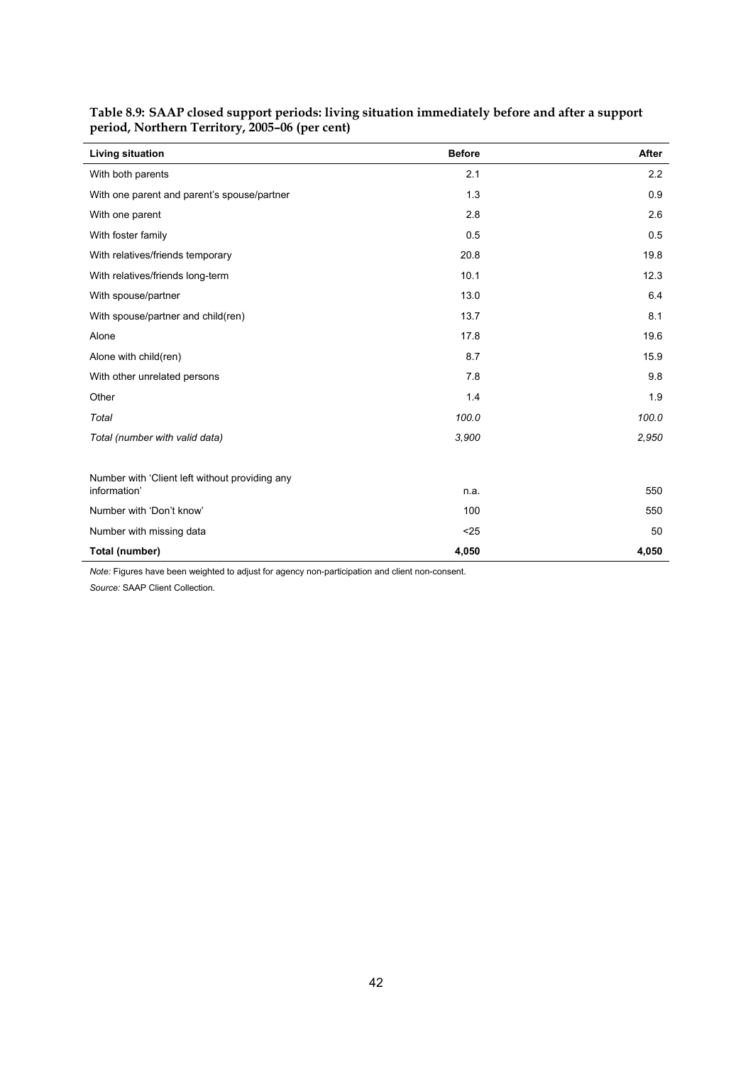| Living situation                               | <b>Before</b> | <b>After</b> |
|------------------------------------------------|---------------|--------------|
| With both parents                              | 2.1           | 2.2          |
| With one parent and parent's spouse/partner    | 1.3           | 0.9          |
| With one parent                                | 2.8           | 2.6          |
| With foster family                             | 0.5           | 0.5          |
| With relatives/friends temporary               | 20.8          | 19.8         |
| With relatives/friends long-term               | 10.1          | 12.3         |
| With spouse/partner                            | 13.0          | 6.4          |
| With spouse/partner and child(ren)             | 13.7          | 8.1          |
| Alone                                          | 17.8          | 19.6         |
| Alone with child(ren)                          | 8.7           | 15.9         |
| With other unrelated persons                   | 7.8           | 9.8          |
| Other                                          | 1.4           | 1.9          |
| Total                                          | 100.0         | 100.0        |
| Total (number with valid data)                 | 3,900         | 2,950        |
|                                                |               |              |
| Number with 'Client left without providing any |               |              |
| information'                                   | n.a.          | 550          |
| Number with 'Don't know'                       | 100           | 550          |
| Number with missing data                       | < 25          | 50           |
| Total (number)                                 | 4,050         | 4,050        |

#### **Table 8.9: SAAP closed support periods: living situation immediately before and after a support period, Northern Territory, 2005–06 (per cent)**

*Note:* Figures have been weighted to adjust for agency non-participation and client non-consent.